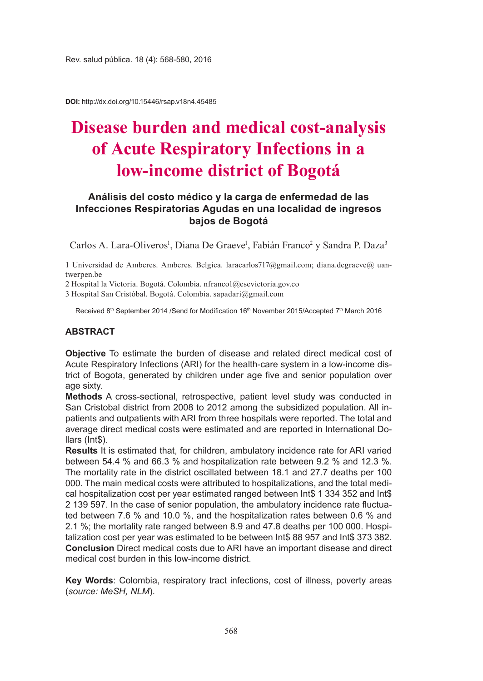**DOI:** http://dx.doi.org/10.15446/rsap.v18n4.45485

# **Disease burden and medical cost-analysis of Acute Respiratory Infections in a low-income district of Bogotá**

## **Análisis del costo médico y la carga de enfermedad de las Infecciones Respiratorias Agudas en una localidad de ingresos bajos de Bogotá**

Carlos A. Lara-Oliveros<sup>1</sup>, Diana De Graeve<sup>1</sup>, Fabián Franco<sup>2</sup> y Sandra P. Daza<sup>3</sup>

1 Universidad de Amberes. Amberes. Belgica. laracarlos717@gmail.com; diana.degraeve@ uantwerpen.be

2 Hospital la Victoria. Bogotá. Colombia. nfranco1@esevictoria.gov.co

3 Hospital San Cristóbal. Bogotá. Colombia. sapadari@gmail.com

Received 8<sup>th</sup> September 2014 /Send for Modification 16<sup>th</sup> November 2015/Accepted 7<sup>th</sup> March 2016

#### **ABSTRACT**

**Objective** To estimate the burden of disease and related direct medical cost of Acute Respiratory Infections (ARI) for the health-care system in a low-income district of Bogota, generated by children under age five and senior population over age sixty.

**Methods** A cross-sectional, retrospective, patient level study was conducted in San Cristobal district from 2008 to 2012 among the subsidized population. All inpatients and outpatients with ARI from three hospitals were reported. The total and average direct medical costs were estimated and are reported in International Dollars (Int\$).

**Results** It is estimated that, for children, ambulatory incidence rate for ARI varied between 54.4 % and 66.3 % and hospitalization rate between 9.2 % and 12.3 %. The mortality rate in the district oscillated between 18.1 and 27.7 deaths per 100 000. The main medical costs were attributed to hospitalizations, and the total medical hospitalization cost per year estimated ranged between Int\$ 1 334 352 and Int\$ 2 139 597. In the case of senior population, the ambulatory incidence rate fluctuated between 7.6 % and 10.0 %, and the hospitalization rates between 0.6 % and 2.1 %; the mortality rate ranged between 8.9 and 47.8 deaths per 100 000. Hospitalization cost per year was estimated to be between Int\$ 88 957 and Int\$ 373 382. **Conclusion** Direct medical costs due to ARI have an important disease and direct medical cost burden in this low-income district.

**Key Words**: Colombia, respiratory tract infections, cost of illness, poverty areas (*source: MeSH, NLM*).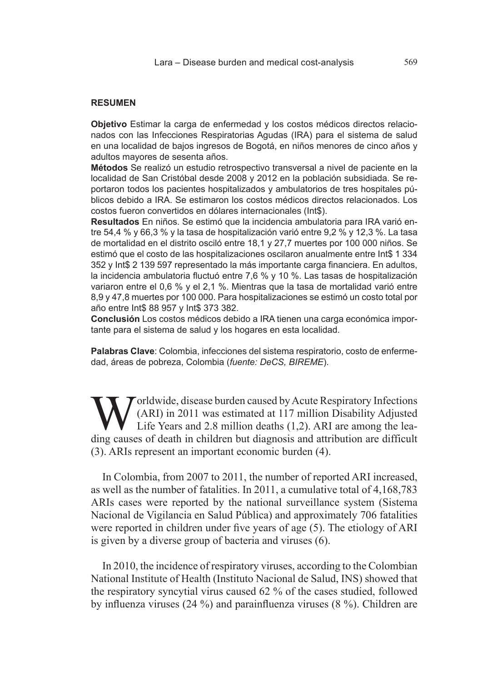#### **RESUMEN**

**Objetivo** Estimar la carga de enfermedad y los costos médicos directos relacionados con las Infecciones Respiratorias Agudas (IRA) para el sistema de salud en una localidad de bajos ingresos de Bogotá, en niños menores de cinco años y adultos mayores de sesenta años.

**Métodos** Se realizó un estudio retrospectivo transversal a nivel de paciente en la localidad de San Cristóbal desde 2008 y 2012 en la población subsidiada. Se reportaron todos los pacientes hospitalizados y ambulatorios de tres hospitales públicos debido a IRA. Se estimaron los costos médicos directos relacionados. Los costos fueron convertidos en dólares internacionales (Int\$).

**Resultados** En niños. Se estimó que la incidencia ambulatoria para IRA varió entre 54,4 % y 66,3 % y la tasa de hospitalización varió entre 9,2 % y 12,3 %. La tasa de mortalidad en el distrito osciló entre 18,1 y 27,7 muertes por 100 000 niños. Se estimó que el costo de las hospitalizaciones oscilaron anualmente entre Int\$ 1 334 352 y Int\$ 2 139 597 representado la más importante carga financiera. En adultos, la incidencia ambulatoria fluctuó entre 7,6 % y 10 %. Las tasas de hospitalización variaron entre el 0,6 % y el 2,1 %. Mientras que la tasa de mortalidad varió entre 8,9 y 47,8 muertes por 100 000. Para hospitalizaciones se estimó un costo total por año entre Int\$ 88 957 y Int\$ 373 382.

**Conclusión** Los costos médicos debido a IRA tienen una carga económica importante para el sistema de salud y los hogares en esta localidad.

**Palabras Clave**: Colombia, infecciones del sistema respiratorio, costo de enfermedad, áreas de pobreza, Colombia (*fuente: DeCS, BIREME*).

 $\sum$  orldwide, disease burden caused by Acute Respiratory Infections (ARI) in 2011 was estimated at 117 million Disability Adjusted Life Years and 2.8 million deaths (1,2). ARI are among the leading causes of death in children but diagnosis and attribution are difficult (3). ARIs represent an important economic burden (4).

In Colombia, from 2007 to 2011, the number of reported ARI increased, as well as the number of fatalities. In 2011, a cumulative total of 4,168,783 ARIs cases were reported by the national surveillance system (Sistema Nacional de Vigilancia en Salud Pública) and approximately 706 fatalities were reported in children under five years of age (5). The etiology of ARI is given by a diverse group of bacteria and viruses (6).

In 2010, the incidence of respiratory viruses, according to the Colombian National Institute of Health (Instituto Nacional de Salud, INS) showed that the respiratory syncytial virus caused 62 % of the cases studied, followed by influenza viruses (24 %) and parainfluenza viruses (8 %). Children are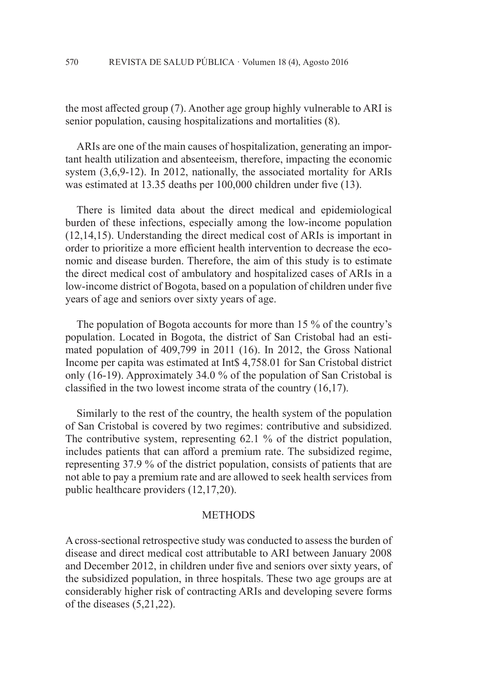the most affected group (7). Another age group highly vulnerable to ARI is senior population, causing hospitalizations and mortalities (8).

ARIs are one of the main causes of hospitalization, generating an important health utilization and absenteeism, therefore, impacting the economic system (3,6,9-12). In 2012, nationally, the associated mortality for ARIs was estimated at 13.35 deaths per 100,000 children under five (13).

There is limited data about the direct medical and epidemiological burden of these infections, especially among the low-income population (12,14,15). Understanding the direct medical cost of ARIs is important in order to prioritize a more efficient health intervention to decrease the economic and disease burden. Therefore, the aim of this study is to estimate the direct medical cost of ambulatory and hospitalized cases of ARIs in a low-income district of Bogota, based on a population of children under five years of age and seniors over sixty years of age.

The population of Bogota accounts for more than 15 % of the country's population. Located in Bogota, the district of San Cristobal had an estimated population of 409,799 in 2011 (16). In 2012, the Gross National Income per capita was estimated at Int\$ 4,758.01 for San Cristobal district only (16-19). Approximately 34.0 % of the population of San Cristobal is classified in the two lowest income strata of the country (16,17).

Similarly to the rest of the country, the health system of the population of San Cristobal is covered by two regimes: contributive and subsidized. The contributive system, representing 62.1 % of the district population, includes patients that can afford a premium rate. The subsidized regime, representing 37.9 % of the district population, consists of patients that are not able to pay a premium rate and are allowed to seek health services from public healthcare providers (12,17,20).

#### **METHODS**

A cross-sectional retrospective study was conducted to assess the burden of disease and direct medical cost attributable to ARI between January 2008 and December 2012, in children under five and seniors over sixty years, of the subsidized population, in three hospitals. These two age groups are at considerably higher risk of contracting ARIs and developing severe forms of the diseases (5,21,22).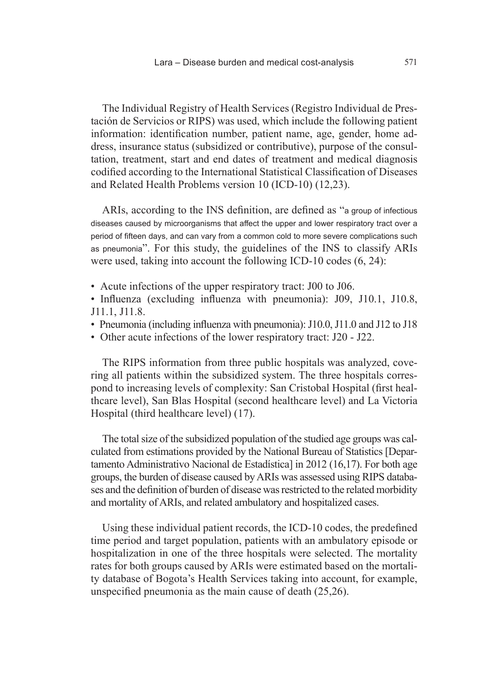The Individual Registry of Health Services (Registro Individual de Prestación de Servicios or RIPS) was used, which include the following patient information: identification number, patient name, age, gender, home address, insurance status (subsidized or contributive), purpose of the consultation, treatment, start and end dates of treatment and medical diagnosis codified according to the International Statistical Classification of Diseases and Related Health Problems version 10 (ICD-10) (12,23).

ARIs, according to the INS definition, are defined as "a group of infectious diseases caused by microorganisms that affect the upper and lower respiratory tract over a period of fifteen days, and can vary from a common cold to more severe complications such as pneumonia". For this study, the guidelines of the INS to classify ARIs were used, taking into account the following ICD-10 codes (6, 24):

• Acute infections of the upper respiratory tract: J00 to J06.

• Influenza (excluding influenza with pneumonia): J09, J10.1, J10.8, J11.1, J11.8.

- Pneumonia (including influenza with pneumonia): J10.0, J11.0 and J12 to J18
- Other acute infections of the lower respiratory tract: J20 J22.

The RIPS information from three public hospitals was analyzed, covering all patients within the subsidized system. The three hospitals correspond to increasing levels of complexity: San Cristobal Hospital (first healthcare level), San Blas Hospital (second healthcare level) and La Victoria Hospital (third healthcare level) (17).

The total size of the subsidized population of the studied age groups was calculated from estimations provided by the National Bureau of Statistics [Departamento Administrativo Nacional de Estadística] in 2012 (16,17). For both age groups, the burden of disease caused by ARIs was assessed using RIPS databases and the definition of burden of disease was restricted to the related morbidity and mortality of ARIs, and related ambulatory and hospitalized cases.

Using these individual patient records, the ICD-10 codes, the predefined time period and target population, patients with an ambulatory episode or hospitalization in one of the three hospitals were selected. The mortality rates for both groups caused by ARIs were estimated based on the mortality database of Bogota's Health Services taking into account, for example, unspecified pneumonia as the main cause of death (25,26).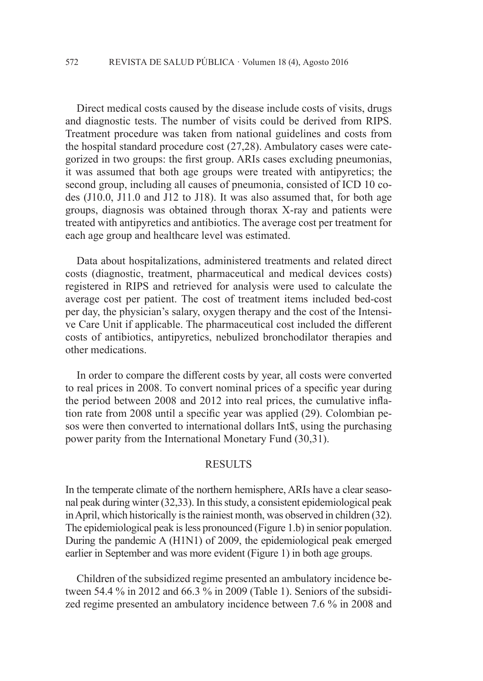Direct medical costs caused by the disease include costs of visits, drugs and diagnostic tests. The number of visits could be derived from RIPS. Treatment procedure was taken from national guidelines and costs from the hospital standard procedure cost (27,28). Ambulatory cases were categorized in two groups: the first group. ARIs cases excluding pneumonias, it was assumed that both age groups were treated with antipyretics; the second group, including all causes of pneumonia, consisted of ICD 10 codes (J10.0, J11.0 and J12 to J18). It was also assumed that, for both age groups, diagnosis was obtained through thorax X-ray and patients were treated with antipyretics and antibiotics. The average cost per treatment for each age group and healthcare level was estimated.

Data about hospitalizations, administered treatments and related direct costs (diagnostic, treatment, pharmaceutical and medical devices costs) registered in RIPS and retrieved for analysis were used to calculate the average cost per patient. The cost of treatment items included bed-cost per day, the physician's salary, oxygen therapy and the cost of the Intensive Care Unit if applicable. The pharmaceutical cost included the different costs of antibiotics, antipyretics, nebulized bronchodilator therapies and other medications.

In order to compare the different costs by year, all costs were converted to real prices in 2008. To convert nominal prices of a specific year during the period between 2008 and 2012 into real prices, the cumulative inflation rate from 2008 until a specific year was applied (29). Colombian pesos were then converted to international dollars Int\$, using the purchasing power parity from the International Monetary Fund (30,31).

## **RESULTS**

In the temperate climate of the northern hemisphere, ARIs have a clear seasonal peak during winter (32,33). In this study, a consistent epidemiological peak in April, which historically is the rainiest month, was observed in children (32). The epidemiological peak is less pronounced (Figure 1.b) in senior population. During the pandemic A (H1N1) of 2009, the epidemiological peak emerged earlier in September and was more evident (Figure 1) in both age groups.

Children of the subsidized regime presented an ambulatory incidence between 54.4 % in 2012 and 66.3 % in 2009 (Table 1). Seniors of the subsidized regime presented an ambulatory incidence between 7.6 % in 2008 and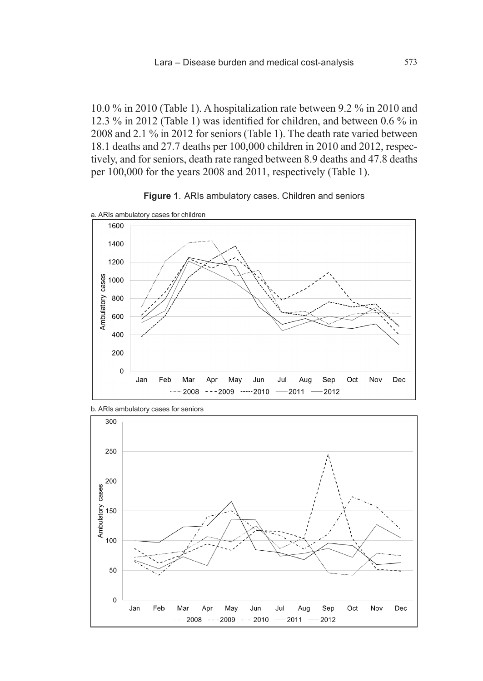10.0 % in 2010 (Table 1). A hospitalization rate between 9.2 % in 2010 and 12.3 % in 2012 (Table 1) was identified for children, and between 0.6 % in 2008 and 2.1 % in 2012 for seniors (Table 1). The death rate varied between 18.1 deaths and 27.7 deaths per 100,000 children in 2010 and 2012, respectively, and for seniors, death rate ranged between 8.9 deaths and 47.8 deaths per 100,000 for the years 2008 and 2011, respectively (Table 1).





b. ARIs ambulatory cases for seniors

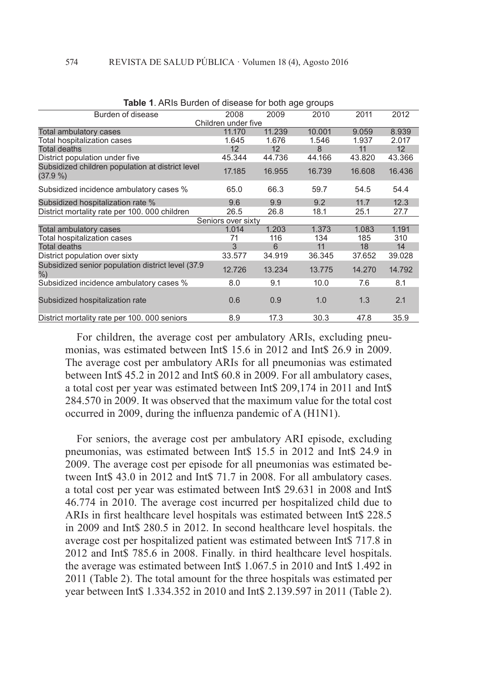|                                                                | <b>TADIC T.</b> AND DUIDELL OF GISCASE TOF DOLL AGE GLOUPS |        |        |        |                 |  |  |
|----------------------------------------------------------------|------------------------------------------------------------|--------|--------|--------|-----------------|--|--|
| Burden of disease                                              | 2008                                                       | 2009   | 2010   | 2011   | 2012            |  |  |
|                                                                | Children under five                                        |        |        |        |                 |  |  |
| Total ambulatory cases                                         | 11.170                                                     | 11.239 | 10.001 | 9.059  | 8.939           |  |  |
| Total hospitalization cases                                    | 1.645                                                      | 1.676  | 1.546  | 1.937  | 2.017           |  |  |
| <b>Total deaths</b>                                            | 12                                                         | 12     | 8      | 11     | 12 <sup>2</sup> |  |  |
| District population under five                                 | 45.344                                                     | 44.736 | 44.166 | 43.820 | 43.366          |  |  |
| Subsidized children population at district level<br>$(37.9\%)$ | 17.185                                                     | 16.955 | 16.739 | 16.608 | 16.436          |  |  |
| Subsidized incidence ambulatory cases %                        | 65.0                                                       | 66.3   | 59.7   | 54.5   | 54.4            |  |  |
| Subsidized hospitalization rate %                              | 9.6                                                        | 9.9    | 9.2    | 11.7   | 12.3            |  |  |
| District mortality rate per 100, 000 children                  | 26.5                                                       | 26.8   | 18.1   | 25.1   | 27.7            |  |  |
|                                                                | Seniors over sixty                                         |        |        |        |                 |  |  |
| Total ambulatory cases                                         | 1.014                                                      | 1.203  | 1.373  | 1.083  | 1.191           |  |  |
| Total hospitalization cases                                    | 71                                                         | 116    | 134    | 185    | 310             |  |  |
| <b>Total deaths</b>                                            | 3                                                          | 6      | 11     | 18     | 14              |  |  |
| District population over sixty                                 | 33.577                                                     | 34.919 | 36.345 | 37.652 | 39.028          |  |  |
| Subsidized senior population district level (37.9)<br>$%$ )    | 12.726                                                     | 13.234 | 13.775 | 14.270 | 14.792          |  |  |
| Subsidized incidence ambulatory cases %                        | 8.0                                                        | 9.1    | 10.0   | 7.6    | 8.1             |  |  |
| Subsidized hospitalization rate                                | 0.6                                                        | 0.9    | 1.0    | 1.3    | 2.1             |  |  |
| District mortality rate per 100.000 seniors                    | 8.9                                                        | 17.3   | 30.3   | 47.8   | 35.9            |  |  |

| <b>Table 1</b> . ARIs Burden of disease for both age groups |  |
|-------------------------------------------------------------|--|
|-------------------------------------------------------------|--|

For children, the average cost per ambulatory ARIs, excluding pneumonias, was estimated between Int\$ 15.6 in 2012 and Int\$ 26.9 in 2009. The average cost per ambulatory ARIs for all pneumonias was estimated between Int\$ 45.2 in 2012 and Int\$ 60.8 in 2009. For all ambulatory cases, a total cost per year was estimated between Int\$ 209,174 in 2011 and Int\$ 284.570 in 2009. It was observed that the maximum value for the total cost occurred in 2009, during the influenza pandemic of A (H1N1).

For seniors, the average cost per ambulatory ARI episode, excluding pneumonias, was estimated between Int\$ 15.5 in 2012 and Int\$ 24.9 in 2009. The average cost per episode for all pneumonias was estimated between Int\$ 43.0 in 2012 and Int\$ 71.7 in 2008. For all ambulatory cases. a total cost per year was estimated between Int\$ 29.631 in 2008 and Int\$ 46.774 in 2010. The average cost incurred per hospitalized child due to ARIs in first healthcare level hospitals was estimated between Int\$ 228.5 in 2009 and Int\$ 280.5 in 2012. In second healthcare level hospitals. the average cost per hospitalized patient was estimated between Int\$ 717.8 in 2012 and Int\$ 785.6 in 2008. Finally. in third healthcare level hospitals. the average was estimated between Int\$ 1.067.5 in 2010 and Int\$ 1.492 in 2011 (Table 2). The total amount for the three hospitals was estimated per year between Int\$ 1.334.352 in 2010 and Int\$ 2.139.597 in 2011 (Table 2).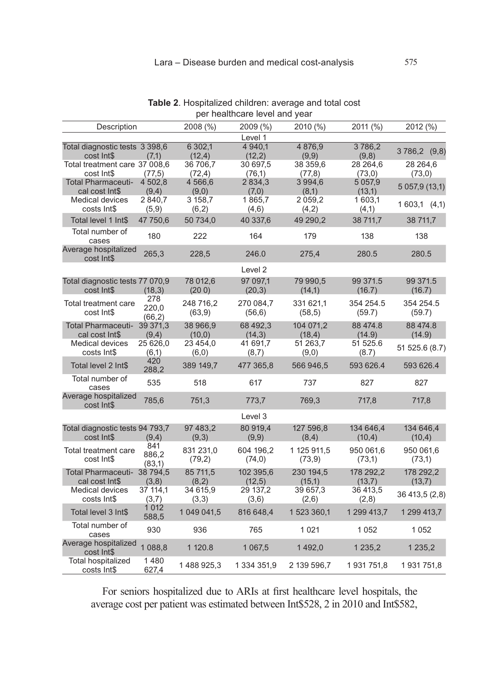| Description                                   |                         | 2008 (%)             | 2009 (%)             | 2010 (%)               | 2011 (%)             | 2012 (%)             |
|-----------------------------------------------|-------------------------|----------------------|----------------------|------------------------|----------------------|----------------------|
|                                               |                         |                      | Level 1              |                        |                      |                      |
| Total diagnostic tests 3 398,6<br>cost Int\$  | (7,1)                   | 6 302,1<br>(12, 4)   | 4 940,1<br>(12, 2)   | 4 8 7 6 , 9<br>(9,9)   | 3786,2<br>(9,8)      | 3786,2 (9,8)         |
| Total treatment care 37 008,6<br>cost Int\$   | (77,5)                  | 36 706,7<br>(72, 4)  | 30 697,5<br>(76,1)   | 38 359,6<br>(77,8)     | 28 264,6<br>(73,0)   | 28 264,6<br>(73,0)   |
| Total Pharmaceuti-<br>cal cost Int\$          | 4 502,8<br>(9,4)        | 4 566,6<br>(9,0)     | 2834,3<br>(7,0)      | 3994,6<br>(8,1)        | 5 0 5 7,9<br>(13,1)  | 5 057,9 (13,1)       |
| <b>Medical devices</b><br>costs Int\$         | 2840,7<br>(5,9)         | 3 158,7<br>(6,2)     | 1865,7<br>(4,6)      | 2059,2<br>(4,2)        | 1603,1<br>(4,1)      | 1603,1(4,1)          |
| Total level 1 Int\$                           | 47 750,6                | 50 734,0             | 40 337,6             | 49 290,2               | 38 711,7             | 38 711,7             |
| Total number of<br>cases                      | 180                     | 222                  | 164                  | 179                    | 138                  | 138                  |
| Average hospitalized<br>cost Int\$            | 265,3                   | 228,5                | 246.0                | 275,4                  | 280.5                | 280.5                |
|                                               |                         |                      | Level 2              |                        |                      |                      |
| Total diagnostic tests 77 070,9<br>cost Int\$ | (18, 3)                 | 78 012,6<br>(200)    | 97 097,1<br>(20,3)   | 79 990,5<br>(14,1)     | 99 371.5<br>(16.7)   | 99 371.5<br>(16.7)   |
| Total treatment care<br>cost Int\$            | 278<br>220,0<br>(66, 2) | 248 716,2<br>(63, 9) | 270 084,7<br>(56, 6) | 331 621,1<br>(58, 5)   | 354 254.5<br>(59.7)  | 354 254.5<br>(59.7)  |
| <b>Total Pharmaceuti-</b><br>cal cost Int\$   | 39 371,3<br>(9,4)       | 38 966,9<br>(10,0)   | 68 492,3<br>(14,3)   | 104 071,2<br>(18, 4)   | 88 474.8<br>(14.9)   | 88 474.8<br>(14.9)   |
| <b>Medical devices</b><br>costs Int\$         | 25 626,0<br>(6,1)       | 23 454,0<br>(6, 0)   | 41 691,7<br>(8,7)    | 51 263,7<br>(9,0)      | 51 525.6<br>(8.7)    | 51 525.6 (8.7)       |
| Total level 2 Int\$                           | 420<br>288,2            | 389 149,7            | 477 365,8            | 566 946,5              | 593 626.4            | 593 626.4            |
| Total number of<br>cases                      | 535                     | 518                  | 617                  | 737                    | 827                  | 827                  |
| Average hospitalized<br>cost Int\$            | 785,6                   | 751,3                | 773,7                | 769,3                  | 717,8                | 717,8                |
|                                               |                         |                      | Level 3              |                        |                      |                      |
| Total diagnostic tests 94 793,7<br>cost Int\$ | (9,4)                   | 97 483,2<br>(9,3)    | 80 919,4<br>(9,9)    | 127 596,8<br>(8,4)     | 134 646,4<br>(10, 4) | 134 646,4<br>(10, 4) |
| Total treatment care<br>cost Int\$            | 841<br>886,2<br>(83,1)  | 831 231,0<br>(79,2)  | 604 196,2<br>(74, 0) | 1 125 911,5<br>(73, 9) | 950 061,6<br>(73,1)  | 950 061,6<br>(73,1)  |
| <b>Total Pharmaceuti-</b><br>cal cost Int\$   | 38 794,5<br>(3,8)       | 85 711,5<br>(8,2)    | 102 395,6<br>(12,5)  | 230 194,5<br>(15,1)    | 178 292,2<br>(13,7)  | 178 292,2<br>(13,7)  |
| <b>Medical devices</b><br>costs Int\$         | 37 114,1<br>(3,7)       | 34 615,9<br>(3,3)    | 29 137,2<br>(3,6)    | 39 657,3<br>(2,6)      | 36 413,5<br>(2,8)    | 36 413,5 (2,8)       |
| Total level 3 Int\$                           | 1 0 1 2<br>588,5        | 1 049 041,5          | 816 648,4            | 1 523 360,1            | 1 299 413,7          | 1 299 413,7          |
| Total number of<br>cases                      | 930                     | 936                  | 765                  | 1 0 2 1                | 1052                 | 1052                 |
| Average hospitalized<br>cost Int\$            | 1088,8                  | 1 120.8              | 1 0 6 7 , 5          | 1492,0                 | 1 2 3 5 , 2          | 1 2 3 5 , 2          |
| Total hospitalized<br>costs Int\$             | 1480<br>627,4           | 1488925,3            | 1 334 351,9          | 2 139 596,7            | 1931751,8            | 1931751,8            |

**Table 2**. Hospitalized children: average and total cost per healthcare level and year

For seniors hospitalized due to ARIs at first healthcare level hospitals, the average cost per patient was estimated between Int\$528, 2 in 2010 and Int\$582,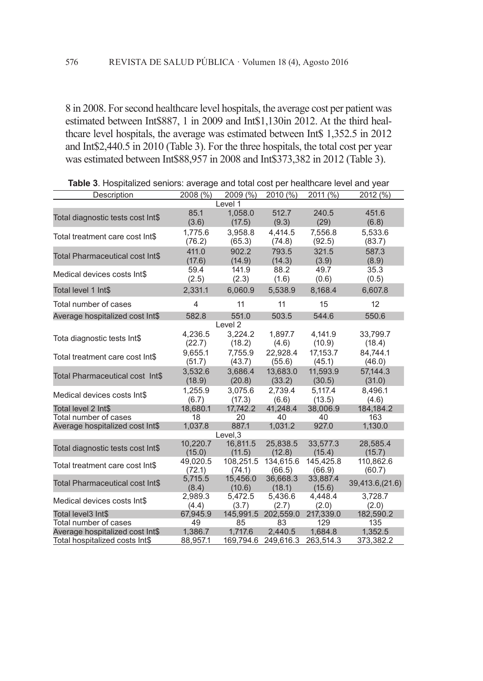8 in 2008. For second healthcare level hospitals, the average cost per patient was estimated between Int\$887, 1 in 2009 and Int\$1,130in 2012. At the third healthcare level hospitals, the average was estimated between Int\$ 1,352.5 in 2012 and Int\$2,440.5 in 2010 (Table 3). For the three hospitals, the total cost per year was estimated between Int\$88,957 in 2008 and Int\$373,382 in 2012 (Table 3).

| Description                       | 2008 (%)       | 2009 (%)          | 2010 (%)  | $2011 \, (\frac{6}{9})$ | 2012 (%)        |  |
|-----------------------------------|----------------|-------------------|-----------|-------------------------|-----------------|--|
|                                   |                | Level 1           |           |                         |                 |  |
|                                   | 85.1           | 1.058.0           | 512.7     | 240.5                   | 451.6           |  |
| Total diagnostic tests cost Int\$ | (3.6)          | (17.5)            | (9.3)     | (29)                    | (6.8)           |  |
|                                   | 1,775.6        | 3,958.8           | 4,414.5   | 7,556.8                 | 5,533.6         |  |
| Total treatment care cost Int\$   | (76.2)         | (65.3)            | (74.8)    | (92.5)                  | (83.7)          |  |
| Total Pharmaceutical cost Int\$   | 411.0          | 902.2             | 793.5     | 321.5                   | 587.3           |  |
|                                   | (17.6)         | (14.9)            | (14.3)    | (3.9)                   | (8.9)           |  |
| Medical devices costs Int\$       | 59.4           | 141.9             | 88.2      | 49.7                    | 35.3            |  |
|                                   | (2.5)          | (2.3)             | (1.6)     | (0.6)                   | (0.5)           |  |
| Total level 1 Int\$               | 2,331.1        | 6,060.9           | 5,538.9   | 8,168.4                 | 6,607.8         |  |
| Total number of cases             | $\overline{4}$ | 11                | 11        | 15                      | 12              |  |
| Average hospitalized cost Int\$   | 582.8          | 551.0             | 503.5     | 544.6                   | 550.6           |  |
| Level <sub>2</sub>                |                |                   |           |                         |                 |  |
| Tota diagnostic tests Int\$       | 4,236.5        | 3,224.2           | 1,897.7   | 4,141.9                 | 33,799.7        |  |
|                                   | (22.7)         | (18.2)            | (4.6)     | (10.9)                  | (18.4)          |  |
| Total treatment care cost Int\$   | 9,655.1        | 7,755.9           | 22,928.4  | 17,153.7                | 84,744.1        |  |
|                                   | (51.7)         | (43.7)            | (55.6)    | (45.1)                  | (46.0)          |  |
| Total Pharmaceutical cost Int\$   | 3,532.6        | 3,686.4           | 13,683.0  | 11,593.9                | 57,144.3        |  |
|                                   | (18.9)         | (20.8)            | (33.2)    | (30.5)                  | (31.0)          |  |
| Medical devices costs Int\$       | 1,255.9        | 3,075.6           | 2.739.4   | 5,117.4                 | 8,496.1         |  |
|                                   | (6.7)          | (17.3)            | (6.6)     | (13.5)                  | (4.6)           |  |
| Total level 2 Int\$               | 18,680.1       | 17,742.2          | 41,248.4  | 38,006.9                | 184,184.2       |  |
| Total number of cases             | 18             | 20                | 40        | 40                      | 163             |  |
| Average hospitalized cost Int\$   | 1,037.8        | 887.1<br>Level, 3 | 1,031.2   | 927.0                   | 1,130.0         |  |
|                                   | 10,220.7       | 16,811.5          | 25,838.5  | 33,577.3                | 28,585.4        |  |
| Total diagnostic tests cost Int\$ | (15.0)         | (11.5)            | (12.8)    | (15.4)                  | (15.7)          |  |
| Total treatment care cost Int\$   | 49,020.5       | 108,251.5         | 134,615.6 | 145,425.8               | 110,862.6       |  |
|                                   | (72.1)         | (74.1)            | (66.5)    | (66.9)                  | (60.7)          |  |
| Total Pharmaceutical cost Int\$   | 5,715.5        | 15,456.0          | 36,668.3  | 33,887.4                |                 |  |
|                                   | (8.4)          | (10.6)            | (18.1)    | (15.6)                  | 39,413.6,(21.6) |  |
| Medical devices costs Int\$       | 2,989.3        | 5,472.5           | 5,436.6   | 4,448.4                 | 3,728.7         |  |
|                                   | (4.4)          | (3.7)             | (2.7)     | (2.0)                   | (2.0)           |  |
| Total level3 Int\$                | 67,945.9       | 145,991.5         | 202,559.0 | 217.339.0               | 182,590.2       |  |
| Total number of cases             | 49             | 85                | 83        | 129                     | 135             |  |
| Average hospitalized cost Int\$   | 1,386.7        | 1,717.6           | 2,440.5   | 1,684.8                 | 1,352.5         |  |
| Total hospitalized costs Int\$    | 88,957.1       | 169,794.6         | 249,616.3 | 263,514.3               | 373,382.2       |  |

**Table 3**. Hospitalized seniors: average and total cost per healthcare level and year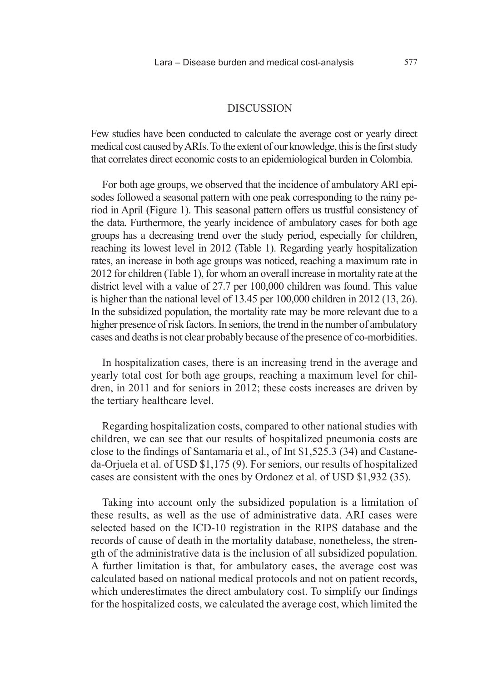#### **DISCUSSION**

Few studies have been conducted to calculate the average cost or yearly direct medical cost caused by ARIs. To the extent of our knowledge, this is the first study that correlates direct economic costs to an epidemiological burden in Colombia.

For both age groups, we observed that the incidence of ambulatory ARI episodes followed a seasonal pattern with one peak corresponding to the rainy period in April (Figure 1). This seasonal pattern offers us trustful consistency of the data. Furthermore, the yearly incidence of ambulatory cases for both age groups has a decreasing trend over the study period, especially for children, reaching its lowest level in 2012 (Table 1). Regarding yearly hospitalization rates, an increase in both age groups was noticed, reaching a maximum rate in 2012 for children (Table 1), for whom an overall increase in mortality rate at the district level with a value of 27.7 per 100,000 children was found. This value is higher than the national level of 13.45 per 100,000 children in 2012 (13, 26). In the subsidized population, the mortality rate may be more relevant due to a higher presence of risk factors. In seniors, the trend in the number of ambulatory cases and deaths is not clear probably because of the presence of co-morbidities.

In hospitalization cases, there is an increasing trend in the average and yearly total cost for both age groups, reaching a maximum level for children, in 2011 and for seniors in 2012; these costs increases are driven by the tertiary healthcare level.

Regarding hospitalization costs, compared to other national studies with children, we can see that our results of hospitalized pneumonia costs are close to the findings of Santamaria et al., of Int \$1,525.3 (34) and Castaneda-Orjuela et al. of USD \$1,175 (9). For seniors, our results of hospitalized cases are consistent with the ones by Ordonez et al. of USD \$1,932 (35).

Taking into account only the subsidized population is a limitation of these results, as well as the use of administrative data. ARI cases were selected based on the ICD-10 registration in the RIPS database and the records of cause of death in the mortality database, nonetheless, the strength of the administrative data is the inclusion of all subsidized population. A further limitation is that, for ambulatory cases, the average cost was calculated based on national medical protocols and not on patient records, which underestimates the direct ambulatory cost. To simplify our findings for the hospitalized costs, we calculated the average cost, which limited the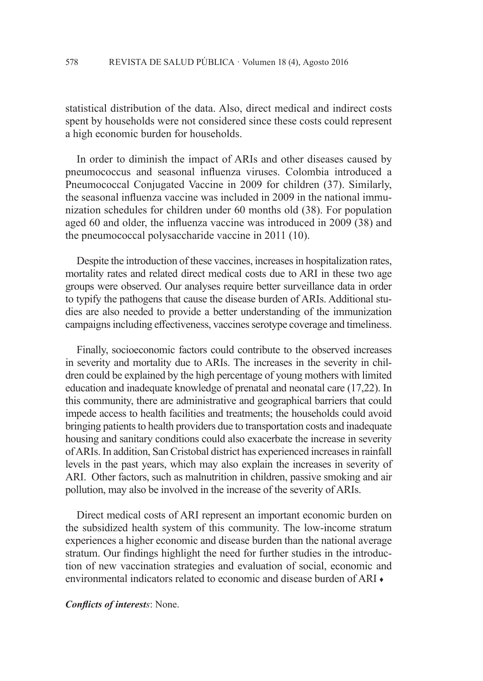statistical distribution of the data. Also, direct medical and indirect costs spent by households were not considered since these costs could represent a high economic burden for households.

In order to diminish the impact of ARIs and other diseases caused by pneumococcus and seasonal influenza viruses. Colombia introduced a Pneumococcal Conjugated Vaccine in 2009 for children (37). Similarly, the seasonal influenza vaccine was included in 2009 in the national immunization schedules for children under 60 months old (38). For population aged 60 and older, the influenza vaccine was introduced in 2009 (38) and the pneumococcal polysaccharide vaccine in 2011 (10).

Despite the introduction of these vaccines, increases in hospitalization rates, mortality rates and related direct medical costs due to ARI in these two age groups were observed. Our analyses require better surveillance data in order to typify the pathogens that cause the disease burden of ARIs. Additional studies are also needed to provide a better understanding of the immunization campaigns including effectiveness, vaccines serotype coverage and timeliness.

Finally, socioeconomic factors could contribute to the observed increases in severity and mortality due to ARIs. The increases in the severity in children could be explained by the high percentage of young mothers with limited education and inadequate knowledge of prenatal and neonatal care (17,22). In this community, there are administrative and geographical barriers that could impede access to health facilities and treatments; the households could avoid bringing patients to health providers due to transportation costs and inadequate housing and sanitary conditions could also exacerbate the increase in severity of ARIs. In addition, San Cristobal district has experienced increases in rainfall levels in the past years, which may also explain the increases in severity of ARI. Other factors, such as malnutrition in children, passive smoking and air pollution, may also be involved in the increase of the severity of ARIs.

Direct medical costs of ARI represent an important economic burden on the subsidized health system of this community. The low-income stratum experiences a higher economic and disease burden than the national average stratum. Our findings highlight the need for further studies in the introduction of new vaccination strategies and evaluation of social, economic and environmental indicators related to economic and disease burden of ARI ♦

*Conflicts of interests*: None.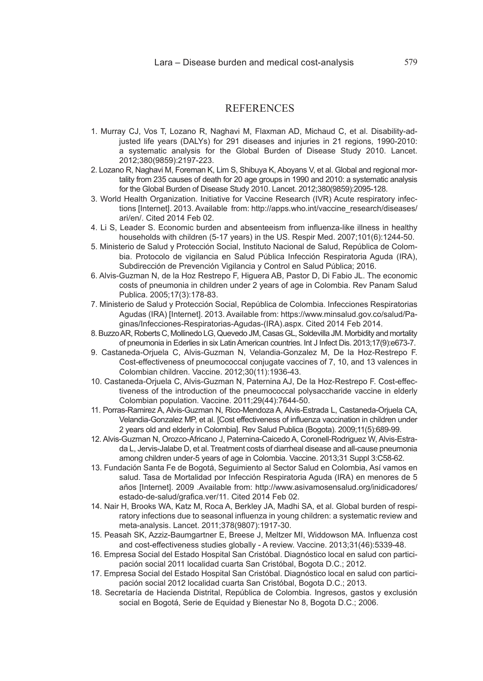### **REFERENCES**

- 1. Murray CJ, Vos T, Lozano R, Naghavi M, Flaxman AD, Michaud C, et al. Disability-adjusted life years (DALYs) for 291 diseases and injuries in 21 regions, 1990-2010: a systematic analysis for the Global Burden of Disease Study 2010. Lancet. 2012;380(9859):2197-223.
- 2. Lozano R, Naghavi M, Foreman K, Lim S, Shibuya K, Aboyans V, et al. Global and regional mortality from 235 causes of death for 20 age groups in 1990 and 2010: a systematic analysis for the Global Burden of Disease Study 2010. Lancet. 2012;380(9859):2095-128.
- 3. World Health Organization. Initiative for Vaccine Research (IVR) Acute respiratory infections [Internet]. 2013. Available from: http://apps.who.int/vaccine\_research/diseases/ ari/en/. Cited 2014 Feb 02.
- 4. Li S, Leader S. Economic burden and absenteeism from influenza-like illness in healthy households with children (5-17 years) in the US. Respir Med. 2007;101(6):1244-50.
- 5. Ministerio de Salud y Protección Social, Instituto Nacional de Salud, República de Colombia. Protocolo de vigilancia en Salud Pública Infección Respiratoria Aguda (IRA), Subdirección de Prevención Vigilancia y Control en Salud Pública; 2016.
- 6. Alvis-Guzman N, de la Hoz Restrepo F, Higuera AB, Pastor D, Di Fabio JL. The economic costs of pneumonia in children under 2 years of age in Colombia. Rev Panam Salud Publica. 2005;17(3):178-83.
- 7. Ministerio de Salud y Protección Social, República de Colombia. Infecciones Respiratorias Agudas (IRA) [Internet]. 2013. Available from: https://www.minsalud.gov.co/salud/Paginas/Infecciones-Respiratorias-Agudas-(IRA).aspx. Cited 2014 Feb 2014.
- 8. Buzzo AR, Roberts C, Mollinedo LG, Quevedo JM, Casas GL, Soldevilla JM. Morbidity and mortality of pneumonia in Ederlies in six Latin American countries. Int J Infect Dis. 2013;17(9):e673-7.
- 9. Castaneda-Orjuela C, Alvis-Guzman N, Velandia-Gonzalez M, De la Hoz-Restrepo F. Cost-effectiveness of pneumococcal conjugate vaccines of 7, 10, and 13 valences in Colombian children. Vaccine. 2012;30(11):1936-43.
- 10. Castaneda-Orjuela C, Alvis-Guzman N, Paternina AJ, De la Hoz-Restrepo F. Cost-effectiveness of the introduction of the pneumococcal polysaccharide vaccine in elderly Colombian population. Vaccine. 2011;29(44):7644-50.
- 11. Porras-Ramirez A, Alvis-Guzman N, Rico-Mendoza A, Alvis-Estrada L, Castaneda-Orjuela CA, Velandia-Gonzalez MP, et al. [Cost effectiveness of influenza vaccination in children under 2 years old and elderly in Colombia]. Rev Salud Publica (Bogota). 2009;11(5):689-99.
- 12. Alvis-Guzman N, Orozco-Africano J, Paternina-Caicedo A, Coronell-Rodriguez W, Alvis-Estrada L, Jervis-Jalabe D, et al. Treatment costs of diarrheal disease and all-cause pneumonia among children under-5 years of age in Colombia. Vaccine. 2013;31 Suppl 3:C58-62.
- 13. Fundación Santa Fe de Bogotá, Seguimiento al Sector Salud en Colombia, Así vamos en salud. Tasa de Mortalidad por Infección Respiratoria Aguda (IRA) en menores de 5 años [Internet]. 2009 .Available from: http://www.asivamosensalud.org/inidicadores/ estado-de-salud/grafica.ver/11. Cited 2014 Feb 02.
- 14. Nair H, Brooks WA, Katz M, Roca A, Berkley JA, Madhi SA, et al. Global burden of respiratory infections due to seasonal influenza in young children: a systematic review and meta-analysis. Lancet. 2011;378(9807):1917-30.
- 15. Peasah SK, Azziz-Baumgartner E, Breese J, Meltzer MI, Widdowson MA. Influenza cost and cost-effectiveness studies globally - A review. Vaccine. 2013;31(46):5339-48.
- 16. Empresa Social del Estado Hospital San Cristóbal. Diagnóstico local en salud con participación social 2011 localidad cuarta San Cristóbal, Bogota D.C.; 2012.
- 17. Empresa Social del Estado Hospital San Cristóbal. Diagnóstico local en salud con participación social 2012 localidad cuarta San Cristóbal, Bogota D.C.; 2013.
- 18. Secretaría de Hacienda Distrital, República de Colombia. Ingresos, gastos y exclusión social en Bogotá, Serie de Equidad y Bienestar No 8, Bogota D.C.; 2006.